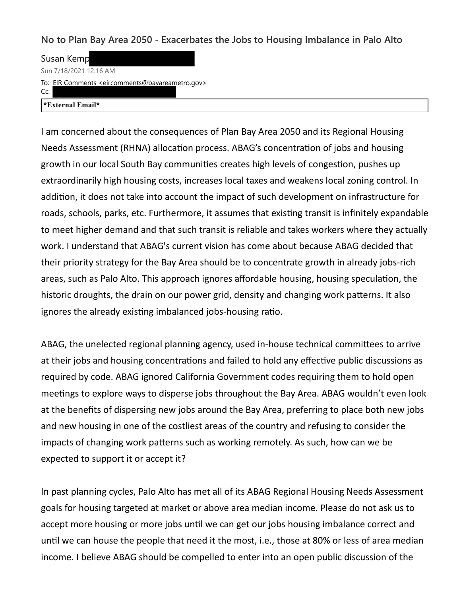**No to Plan Bay Area 2050 - Exacerbates the Jobs to Housing Imbalance in Palo Alto**

Susan Kemp Sun 7/18/2021 12:16 AM

To: EIR Comments <eircomments@bavareametro.gov>

Cc:

**\*External Email\***

I am concerned about the consequences of Plan Bay Area 2050 and its Regional Housing Needs Assessment (RHNA) allocation process. ABAG's concentration of jobs and housing growth in our local South Bay communities creates high levels of congestion, pushes up extraordinarily high housing costs, increases local taxes and weakens local zoning control. In addition, it does not take into account the impact of such development on infrastructure for roads, schools, parks, etc. Furthermore, it assumes that existing transit is infinitely expandable to meet higher demand and that such transit is reliable and takes workers where they actually work. I understand that ABAG's current vision has come about because ABAG decided that their priority strategy for the Bay Area should be to concentrate growth in already jobs-rich areas, such as Palo Alto. This approach ignores affordable housing, housing speculation, the historic droughts, the drain on our power grid, density and changing work patterns. It also ignores the already existing imbalanced jobs-housing ratio.

ABAG, the unelected regional planning agency, used in-house technical committees to arrive at their jobs and housing concentrations and failed to hold any effective public discussions as required by code. ABAG ignored California Government codes requiring them to hold open meetings to explore ways to disperse jobs throughout the Bay Area. ABAG wouldn't even look at the benefits of dispersing new jobs around the Bay Area, preferring to place both new jobs and new housing in one of the costliest areas of the country and refusing to consider the impacts of changing work patterns such as working remotely. As such, how can we be expected to support it or accept it?

In past planning cycles, Palo Alto has met all of its ABAG Regional Housing Needs Assessment goals for housing targeted at market or above area median income. Please do not ask us to accept more housing or more jobs until we can get our jobs housing imbalance correct and until we can house the people that need it the most, i.e., those at 80% or less of area median income. I believe ABAG should be compelled to enter into an open public discussion of the